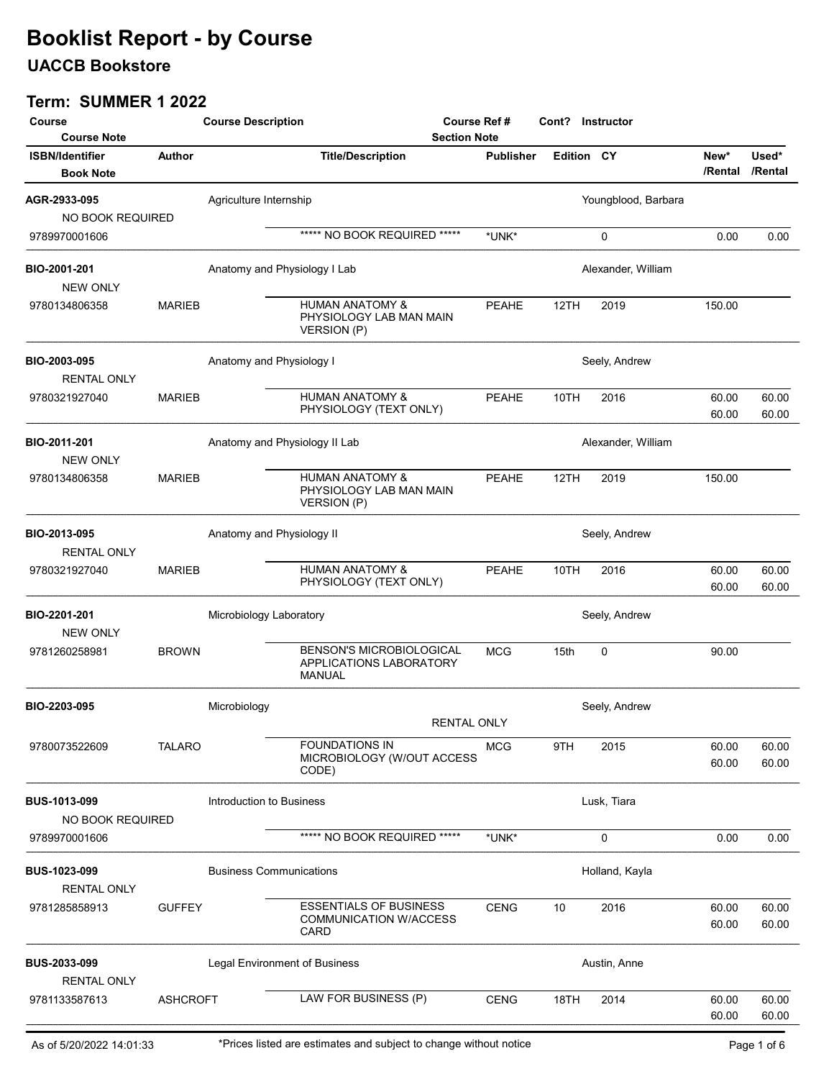## UACCB Bookstore

| Course<br><b>Course Note</b>               |                 | <b>Course Description</b>      |                                                                             | Course Ref #<br><b>Section Note</b> |                   | Cont? Instructor    |                 |                  |
|--------------------------------------------|-----------------|--------------------------------|-----------------------------------------------------------------------------|-------------------------------------|-------------------|---------------------|-----------------|------------------|
| <b>ISBN/Identifier</b><br><b>Book Note</b> | <b>Author</b>   |                                | <b>Title/Description</b>                                                    | <b>Publisher</b>                    | <b>Edition CY</b> |                     | New*<br>/Rental | Used*<br>/Rental |
| AGR-2933-095<br>NO BOOK REQUIRED           |                 | Agriculture Internship         |                                                                             |                                     |                   | Youngblood, Barbara |                 |                  |
| 9789970001606                              |                 |                                | ***** NO BOOK REQUIRED *****                                                | *UNK*                               |                   | 0                   | 0.00            | 0.00             |
| BIO-2001-201<br><b>NEW ONLY</b>            |                 | Anatomy and Physiology I Lab   |                                                                             |                                     |                   | Alexander, William  |                 |                  |
| 9780134806358                              | <b>MARIEB</b>   |                                | <b>HUMAN ANATOMY &amp;</b><br>PHYSIOLOGY LAB MAN MAIN<br><b>VERSION (P)</b> | <b>PEAHE</b>                        | 12TH              | 2019                | 150.00          |                  |
| BIO-2003-095<br><b>RENTAL ONLY</b>         |                 | Anatomy and Physiology I       |                                                                             |                                     |                   | Seely, Andrew       |                 |                  |
| 9780321927040                              | <b>MARIEB</b>   |                                | <b>HUMAN ANATOMY &amp;</b><br>PHYSIOLOGY (TEXT ONLY)                        | <b>PEAHE</b>                        | 10TH              | 2016                | 60.00<br>60.00  | 60.00<br>60.00   |
| BIO-2011-201<br><b>NEW ONLY</b>            |                 | Anatomy and Physiology II Lab  |                                                                             |                                     |                   | Alexander, William  |                 |                  |
| 9780134806358                              | <b>MARIEB</b>   |                                | <b>HUMAN ANATOMY &amp;</b><br>PHYSIOLOGY LAB MAN MAIN<br><b>VERSION (P)</b> | <b>PEAHE</b>                        | 12TH              | 2019                | 150.00          |                  |
| BIO-2013-095<br><b>RENTAL ONLY</b>         |                 | Anatomy and Physiology II      |                                                                             |                                     |                   | Seely, Andrew       |                 |                  |
| 9780321927040                              | <b>MARIEB</b>   |                                | <b>HUMAN ANATOMY &amp;</b><br>PHYSIOLOGY (TEXT ONLY)                        | <b>PEAHE</b>                        | 10TH              | 2016                | 60.00<br>60.00  | 60.00<br>60.00   |
| BIO-2201-201<br><b>NEW ONLY</b>            |                 | Microbiology Laboratory        |                                                                             |                                     |                   | Seely, Andrew       |                 |                  |
| 9781260258981                              | <b>BROWN</b>    |                                | <b>BENSON'S MICROBIOLOGICAL</b><br>APPLICATIONS LABORATORY<br><b>MANUAL</b> | <b>MCG</b>                          | 15th              | 0                   | 90.00           |                  |
| BIO-2203-095                               |                 | Microbiology                   | <b>RENTAL ONLY</b>                                                          |                                     |                   | Seely, Andrew       |                 |                  |
| 9780073522609                              | <b>TALARO</b>   |                                | <b>FOUNDATIONS IN</b><br>MICROBIOLOGY (W/OUT ACCESS<br>CODE)                | <b>MCG</b>                          | 9TH               | 2015                | 60.00<br>60.00  | 60.00<br>60.00   |
| BUS-1013-099<br>NO BOOK REQUIRED           |                 | Introduction to Business       |                                                                             |                                     |                   | Lusk, Tiara         |                 |                  |
| 9789970001606                              |                 |                                | ***** NO BOOK REQUIRED *****                                                | *UNK*                               |                   | 0                   | 0.00            | 0.00             |
| BUS-1023-099<br><b>RENTAL ONLY</b>         |                 | <b>Business Communications</b> |                                                                             |                                     |                   | Holland, Kayla      |                 |                  |
| 9781285858913                              | <b>GUFFEY</b>   |                                | <b>ESSENTIALS OF BUSINESS</b><br>COMMUNICATION W/ACCESS<br>CARD             | <b>CENG</b>                         | 10                | 2016                | 60.00<br>60.00  | 60.00<br>60.00   |
| BUS-2033-099<br><b>RENTAL ONLY</b>         |                 | Legal Environment of Business  |                                                                             |                                     |                   | Austin, Anne        |                 |                  |
| 9781133587613                              | <b>ASHCROFT</b> |                                | LAW FOR BUSINESS (P)                                                        | <b>CENG</b>                         | 18TH              | 2014                | 60.00<br>60.00  | 60.00<br>60.00   |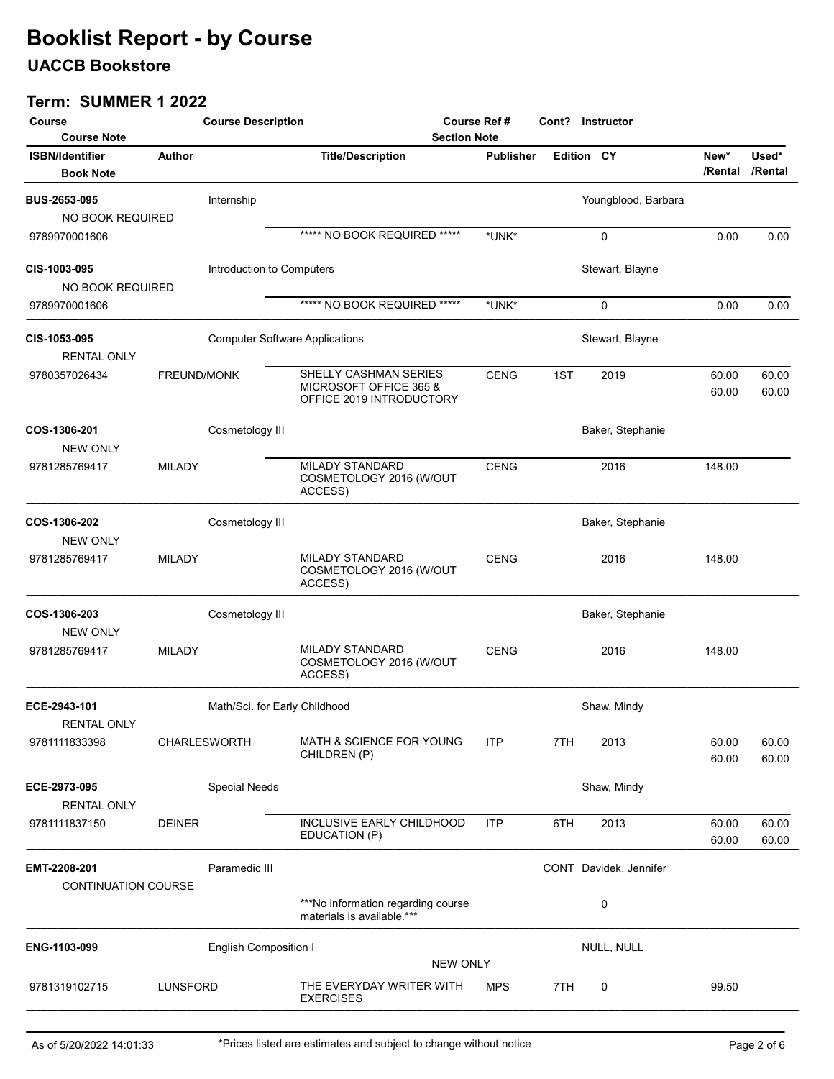## UACCB Bookstore

| Course                                     |                 | <b>Course Description</b>    |                                                                             | Course Ref #<br><b>Section Note</b> |                  |                   | Cont? Instructor       |                |                |
|--------------------------------------------|-----------------|------------------------------|-----------------------------------------------------------------------------|-------------------------------------|------------------|-------------------|------------------------|----------------|----------------|
| <b>Course Note</b>                         | <b>Author</b>   |                              |                                                                             |                                     | <b>Publisher</b> | <b>Edition CY</b> |                        | New*           | Used*          |
| <b>ISBN/Identifier</b><br><b>Book Note</b> |                 |                              | <b>Title/Description</b>                                                    |                                     |                  |                   |                        | /Rental        | /Rental        |
| <b>BUS-2653-095</b>                        |                 | Internship                   |                                                                             |                                     |                  |                   | Youngblood, Barbara    |                |                |
| NO BOOK REQUIRED                           |                 |                              |                                                                             |                                     |                  |                   |                        |                |                |
| 9789970001606                              |                 |                              | ***** NO BOOK REQUIRED *****                                                |                                     | *UNK*            |                   | 0                      | 0.00           | 0.00           |
| <b>CIS-1003-095</b><br>NO BOOK REQUIRED    |                 | Introduction to Computers    |                                                                             |                                     |                  |                   | Stewart, Blayne        |                |                |
| 9789970001606                              |                 |                              | ***** NO BOOK REQUIRED *****                                                |                                     | *UNK*            |                   | 0                      | 0.00           | 0.00           |
| CIS-1053-095<br><b>RENTAL ONLY</b>         |                 |                              | <b>Computer Software Applications</b>                                       |                                     |                  |                   | Stewart, Blayne        |                |                |
| 9780357026434                              | FREUND/MONK     |                              | SHELLY CASHMAN SERIES<br>MICROSOFT OFFICE 365 &<br>OFFICE 2019 INTRODUCTORY |                                     | <b>CENG</b>      | 1ST               | 2019                   | 60.00<br>60.00 | 60.00<br>60.00 |
| COS-1306-201<br><b>NEW ONLY</b>            |                 | Cosmetology III              |                                                                             |                                     |                  |                   | Baker, Stephanie       |                |                |
| 9781285769417                              | MILADY          |                              | MILADY STANDARD<br>COSMETOLOGY 2016 (W/OUT<br>ACCESS)                       |                                     | <b>CENG</b>      |                   | 2016                   | 148.00         |                |
| <b>COS-1306-202</b><br><b>NEW ONLY</b>     |                 | Cosmetology III              |                                                                             |                                     |                  |                   | Baker, Stephanie       |                |                |
| 9781285769417                              | <b>MILADY</b>   |                              | MILADY STANDARD<br>COSMETOLOGY 2016 (W/OUT<br>ACCESS)                       |                                     | <b>CENG</b>      |                   | 2016                   | 148.00         |                |
| COS-1306-203<br><b>NEW ONLY</b>            |                 | Cosmetology III              |                                                                             |                                     |                  |                   | Baker, Stephanie       |                |                |
| 9781285769417                              | <b>MILADY</b>   |                              | <b>MILADY STANDARD</b><br>COSMETOLOGY 2016 (W/OUT<br>ACCESS)                |                                     | <b>CENG</b>      |                   | 2016                   | 148.00         |                |
| ECE-2943-101<br><b>RENTAL ONLY</b>         |                 |                              | Math/Sci. for Early Childhood                                               |                                     |                  |                   | Shaw, Mindy            |                |                |
| 9781111833398                              |                 | CHARLESWORTH                 | MATH & SCIENCE FOR YOUNG<br>CHILDREN (P)                                    |                                     | <b>ITP</b>       | 7TH               | 2013                   | 60.00<br>60.00 | 60.00<br>60.00 |
| ECE-2973-095<br><b>RENTAL ONLY</b>         |                 | <b>Special Needs</b>         |                                                                             |                                     |                  |                   | Shaw, Mindy            |                |                |
| 9781111837150                              | <b>DEINER</b>   |                              | INCLUSIVE EARLY CHILDHOOD<br>EDUCATION (P)                                  |                                     | <b>ITP</b>       | 6TH               | 2013                   | 60.00<br>60.00 | 60.00<br>60.00 |
| EMT-2208-201<br><b>CONTINUATION COURSE</b> |                 | Paramedic III                |                                                                             |                                     |                  |                   | CONT Davidek, Jennifer |                |                |
|                                            |                 |                              | ***No information regarding course<br>materials is available.***            |                                     |                  |                   | 0                      |                |                |
| ENG-1103-099                               |                 | <b>English Composition I</b> |                                                                             | <b>NEW ONLY</b>                     |                  |                   | NULL, NULL             |                |                |
| 9781319102715                              | <b>LUNSFORD</b> |                              | THE EVERYDAY WRITER WITH<br><b>EXERCISES</b>                                |                                     | <b>MPS</b>       | 7TH               | 0                      | 99.50          |                |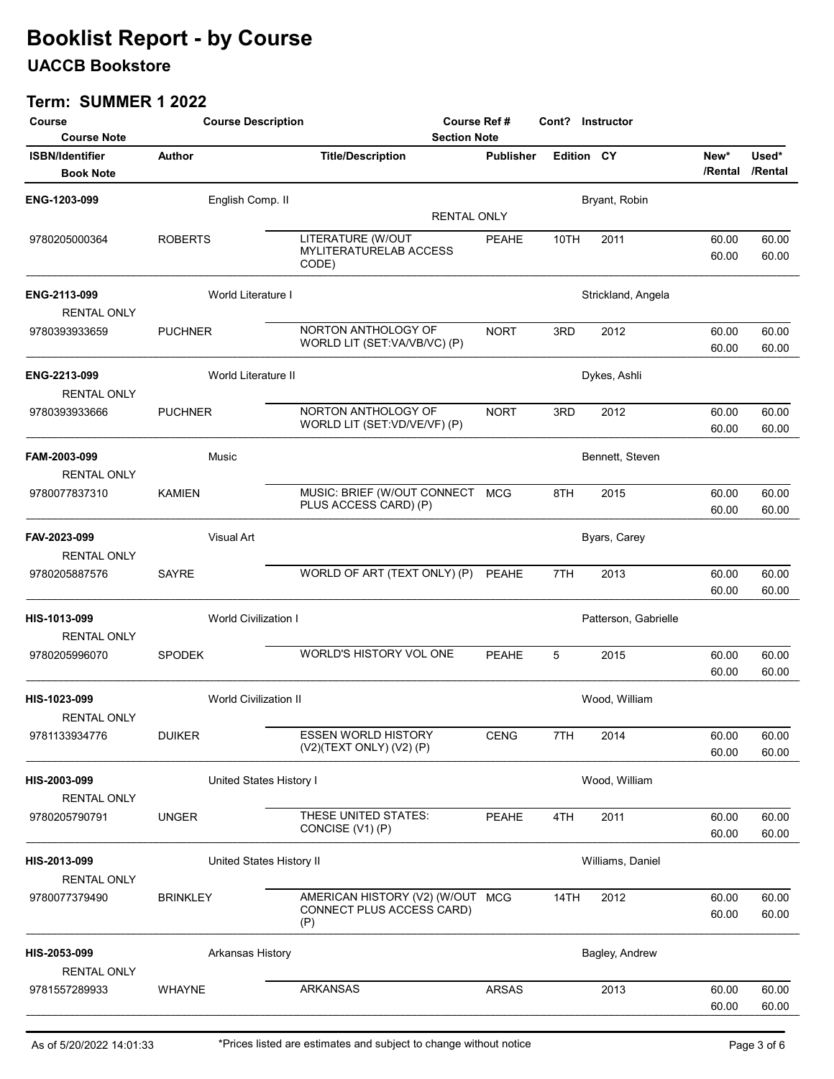## UACCB Bookstore

| Course<br><b>Course Note</b>               | <b>Course Description</b>    |                                                                      | <b>Course Ref#</b><br><b>Section Note</b> |                   |                      | Cont? Instructor |                  |  |  |
|--------------------------------------------|------------------------------|----------------------------------------------------------------------|-------------------------------------------|-------------------|----------------------|------------------|------------------|--|--|
| <b>ISBN/Identifier</b><br><b>Book Note</b> | <b>Author</b>                | <b>Title/Description</b>                                             | <b>Publisher</b>                          | <b>Edition CY</b> |                      | New*<br>/Rental  | Used*<br>/Rental |  |  |
| ENG-1203-099                               | English Comp. II             |                                                                      |                                           |                   | Bryant, Robin        |                  |                  |  |  |
|                                            |                              | <b>RENTAL ONLY</b>                                                   |                                           |                   |                      |                  |                  |  |  |
| 9780205000364                              | <b>ROBERTS</b>               | LITERATURE (W/OUT<br>MYLITERATURELAB ACCESS<br>CODE)                 | <b>PEAHE</b>                              | 10TH              | 2011                 | 60.00<br>60.00   | 60.00<br>60.00   |  |  |
| ENG-2113-099<br>RENTAL ONLY                | World Literature I           |                                                                      |                                           |                   | Strickland, Angela   |                  |                  |  |  |
| 9780393933659                              | <b>PUCHNER</b>               | NORTON ANTHOLOGY OF<br>WORLD LIT (SET:VA/VB/VC) (P)                  | <b>NORT</b>                               | 3RD               | 2012                 | 60.00<br>60.00   | 60.00<br>60.00   |  |  |
| ENG-2213-099<br><b>RENTAL ONLY</b>         | World Literature II          |                                                                      |                                           |                   | Dykes, Ashli         |                  |                  |  |  |
| 9780393933666                              | <b>PUCHNER</b>               | NORTON ANTHOLOGY OF<br>WORLD LIT (SET:VD/VE/VF) (P)                  | <b>NORT</b>                               | 3RD               | 2012                 | 60.00<br>60.00   | 60.00<br>60.00   |  |  |
| FAM-2003-099<br><b>RENTAL ONLY</b>         | Music                        |                                                                      |                                           |                   | Bennett, Steven      |                  |                  |  |  |
| 9780077837310                              | <b>KAMIEN</b>                | MUSIC: BRIEF (W/OUT CONNECT MCG<br>PLUS ACCESS CARD) (P)             |                                           | 8TH               | 2015                 | 60.00<br>60.00   | 60.00<br>60.00   |  |  |
| FAV-2023-099<br><b>RENTAL ONLY</b>         | <b>Visual Art</b>            |                                                                      |                                           |                   | Byars, Carey         |                  |                  |  |  |
| 9780205887576                              | <b>SAYRE</b>                 | WORLD OF ART (TEXT ONLY) (P)                                         | <b>PEAHE</b>                              | 7TH               | 2013                 | 60.00<br>60.00   | 60.00<br>60.00   |  |  |
| HIS-1013-099<br><b>RENTAL ONLY</b>         | <b>World Civilization I</b>  |                                                                      |                                           |                   | Patterson, Gabrielle |                  |                  |  |  |
| 9780205996070                              | <b>SPODEK</b>                | WORLD'S HISTORY VOL ONE                                              | <b>PEAHE</b>                              | 5                 | 2015                 | 60.00<br>60.00   | 60.00<br>60.00   |  |  |
| HIS-1023-099<br><b>RENTAL ONLY</b>         | <b>World Civilization II</b> |                                                                      |                                           |                   | Wood, William        |                  |                  |  |  |
| 9781133934776                              | <b>DUIKER</b>                | <b>ESSEN WORLD HISTORY</b><br>(V2)(TEXT ONLY) (V2) (P)               | <b>CENG</b>                               | 7TH               | 2014                 | 60.00<br>60.00   | 60.00<br>60.00   |  |  |
| HIS-2003-099<br><b>RENTAL ONLY</b>         | United States History I      |                                                                      |                                           |                   | Wood, William        |                  |                  |  |  |
| 9780205790791                              | <b>UNGER</b>                 | THESE UNITED STATES:<br>CONCISE (V1) (P)                             | PEAHE                                     | 4TH               | 2011                 | 60.00<br>60.00   | 60.00<br>60.00   |  |  |
| HIS-2013-099<br><b>RENTAL ONLY</b>         | United States History II     |                                                                      |                                           |                   | Williams, Daniel     |                  |                  |  |  |
| 9780077379490                              | <b>BRINKLEY</b>              | AMERICAN HISTORY (V2) (W/OUT MCG<br>CONNECT PLUS ACCESS CARD)<br>(P) |                                           | 14TH              | 2012                 | 60.00<br>60.00   | 60.00<br>60.00   |  |  |
| HIS-2053-099<br><b>RENTAL ONLY</b>         | Arkansas History             |                                                                      |                                           |                   | Bagley, Andrew       |                  |                  |  |  |
| 9781557289933                              | <b>WHAYNE</b>                | <b>ARKANSAS</b>                                                      | <b>ARSAS</b>                              |                   | 2013                 | 60.00<br>60.00   | 60.00<br>60.00   |  |  |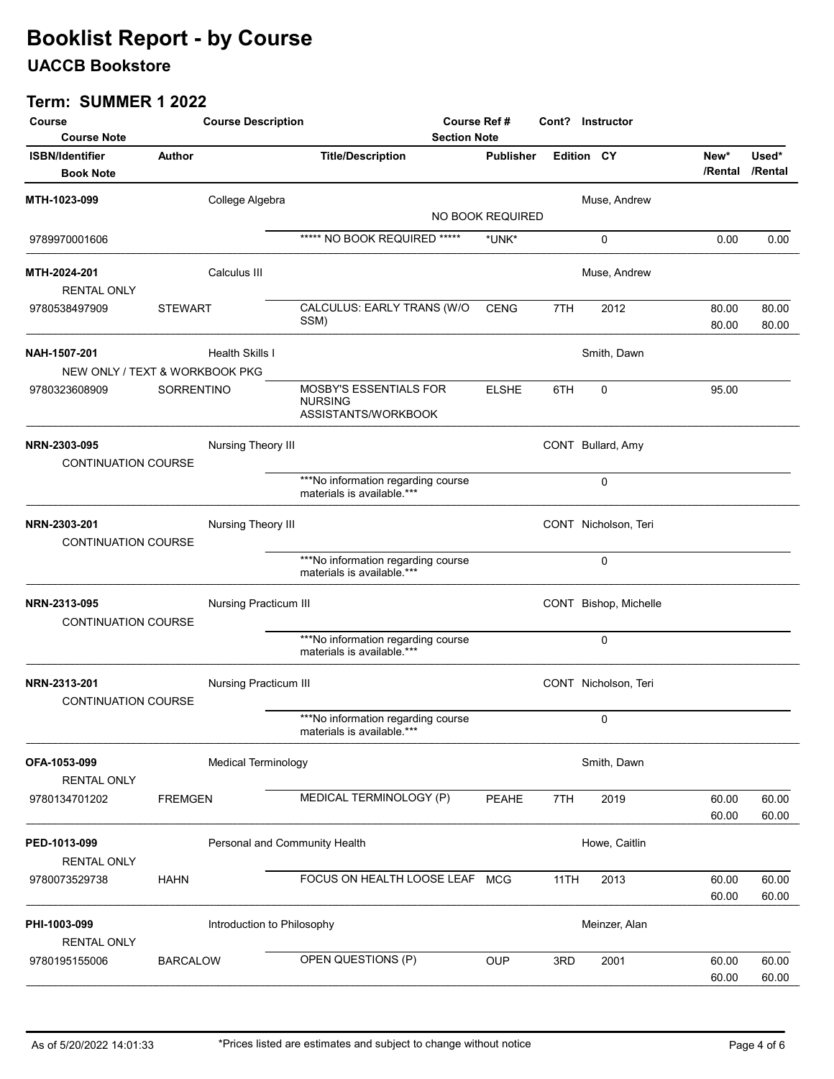## UACCB Bookstore

| Course                                     |                 | <b>Course Description</b>     |                                                                  | <b>Course Ref#</b> |      | Cont? Instructor      |                 |                  |
|--------------------------------------------|-----------------|-------------------------------|------------------------------------------------------------------|--------------------|------|-----------------------|-----------------|------------------|
| <b>Course Note</b>                         |                 |                               | <b>Section Note</b>                                              |                    |      |                       |                 |                  |
| <b>ISBN/Identifier</b><br><b>Book Note</b> | Author          |                               | <b>Title/Description</b>                                         | <b>Publisher</b>   |      | <b>Edition CY</b>     | New*<br>/Rental | Used*<br>/Rental |
| MTH-1023-099                               |                 | College Algebra               |                                                                  |                    |      | Muse, Andrew          |                 |                  |
|                                            |                 |                               |                                                                  | NO BOOK REQUIRED   |      |                       |                 |                  |
| 9789970001606                              |                 |                               | ***** NO BOOK REQUIRED *****                                     | *UNK*              |      | $\Omega$              | 0.00            | 0.00             |
| MTH-2024-201                               |                 | Calculus III                  |                                                                  |                    |      | Muse, Andrew          |                 |                  |
| <b>RENTAL ONLY</b>                         |                 |                               |                                                                  |                    |      |                       |                 |                  |
| 9780538497909                              | <b>STEWART</b>  |                               | CALCULUS: EARLY TRANS (W/O<br>SSM)                               | <b>CENG</b>        | 7TH  | 2012                  | 80.00<br>80.00  | 80.00<br>80.00   |
| NAH-1507-201                               |                 | Health Skills I               |                                                                  |                    |      | Smith, Dawn           |                 |                  |
| NEW ONLY / TEXT & WORKBOOK PKG             |                 |                               |                                                                  |                    |      |                       |                 |                  |
| 9780323608909                              | SORRENTINO      |                               | MOSBY'S ESSENTIALS FOR<br><b>NURSING</b><br>ASSISTANTS/WORKBOOK  | <b>ELSHE</b>       | 6TH  | $\mathbf 0$           | 95.00           |                  |
| NRN-2303-095<br><b>CONTINUATION COURSE</b> |                 | Nursing Theory III            |                                                                  |                    |      | CONT Bullard, Amy     |                 |                  |
|                                            |                 |                               | ***No information regarding course<br>materials is available.*** |                    |      | $\mathbf 0$           |                 |                  |
| NRN-2303-201<br><b>CONTINUATION COURSE</b> |                 | Nursing Theory III            |                                                                  |                    |      | CONT Nicholson, Teri  |                 |                  |
|                                            |                 |                               | ***No information regarding course<br>materials is available.*** |                    |      | $\mathbf 0$           |                 |                  |
| NRN-2313-095<br><b>CONTINUATION COURSE</b> |                 | Nursing Practicum III         |                                                                  |                    |      | CONT Bishop, Michelle |                 |                  |
|                                            |                 |                               | ***No information regarding course<br>materials is available.*** |                    |      | $\mathbf 0$           |                 |                  |
| NRN-2313-201<br><b>CONTINUATION COURSE</b> |                 | <b>Nursing Practicum III</b>  |                                                                  |                    |      | CONT Nicholson, Teri  |                 |                  |
|                                            |                 |                               | ***No information regarding course<br>materials is available.*** |                    |      | 0                     |                 |                  |
| OFA-1053-099<br><b>RENTAL ONLY</b>         |                 | <b>Medical Terminology</b>    |                                                                  |                    |      | Smith, Dawn           |                 |                  |
| 9780134701202                              | <b>FREMGEN</b>  |                               | MEDICAL TERMINOLOGY (P)                                          | PEAHE              | 7TH  | 2019                  | 60.00<br>60.00  | 60.00<br>60.00   |
| PED-1013-099<br><b>RENTAL ONLY</b>         |                 | Personal and Community Health |                                                                  |                    |      | Howe, Caitlin         |                 |                  |
| 9780073529738                              | <b>HAHN</b>     |                               | FOCUS ON HEALTH LOOSE LEAF                                       | <b>MCG</b>         | 11TH | 2013                  | 60.00<br>60.00  | 60.00<br>60.00   |
| PHI-1003-099<br><b>RENTAL ONLY</b>         |                 | Introduction to Philosophy    |                                                                  |                    |      | Meinzer, Alan         |                 |                  |
| 9780195155006                              | <b>BARCALOW</b> |                               | OPEN QUESTIONS (P)                                               | <b>OUP</b>         | 3RD  | 2001                  | 60.00<br>60.00  | 60.00<br>60.00   |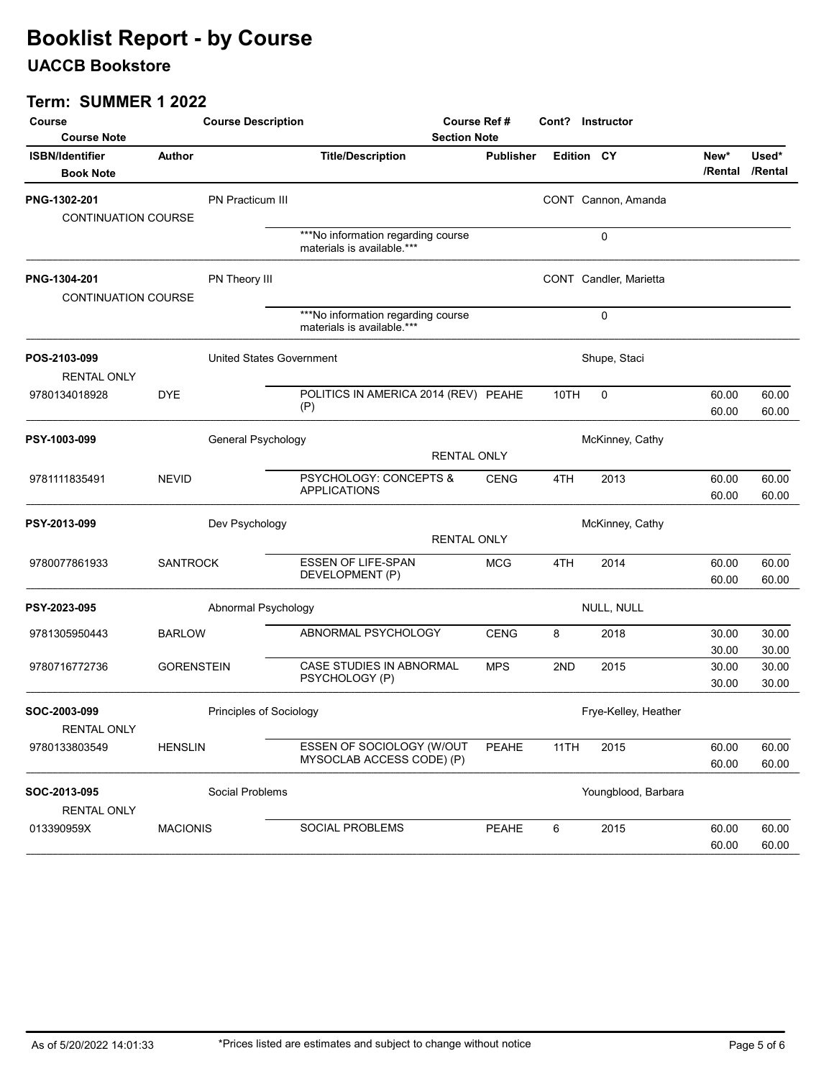## UACCB Bookstore

| Course<br><b>Course Note</b>               |                   | <b>Course Description</b>       |                                                                  | Course Ref #<br><b>Section Note</b> |      | Cont? Instructor       |                |                          |
|--------------------------------------------|-------------------|---------------------------------|------------------------------------------------------------------|-------------------------------------|------|------------------------|----------------|--------------------------|
| <b>ISBN/Identifier</b><br><b>Book Note</b> | Author            |                                 | <b>Title/Description</b>                                         | <b>Publisher</b>                    |      | Edition CY             | New*           | Used*<br>/Rental /Rental |
| PNG-1302-201<br>CONTINUATION COURSE        |                   | PN Practicum III                |                                                                  |                                     |      | CONT Cannon, Amanda    |                |                          |
|                                            |                   |                                 | ***No information regarding course<br>materials is available.*** |                                     |      | 0                      |                |                          |
| PNG-1304-201<br><b>CONTINUATION COURSE</b> |                   | PN Theory III                   |                                                                  |                                     |      | CONT Candler, Marietta |                |                          |
|                                            |                   |                                 | ***No information regarding course<br>materials is available.*** |                                     |      | $\mathbf 0$            |                |                          |
| POS-2103-099<br><b>RENTAL ONLY</b>         |                   | <b>United States Government</b> |                                                                  |                                     |      | Shupe, Staci           |                |                          |
| 9780134018928                              | <b>DYE</b>        |                                 | POLITICS IN AMERICA 2014 (REV) PEAHE<br>(P)                      |                                     | 10TH | $\mathbf 0$            | 60.00<br>60.00 | 60.00<br>60.00           |
| PSY-1003-099                               |                   | General Psychology              |                                                                  | <b>RENTAL ONLY</b>                  |      | McKinney, Cathy        |                |                          |
| 9781111835491                              | <b>NEVID</b>      |                                 | PSYCHOLOGY: CONCEPTS &<br><b>APPLICATIONS</b>                    | <b>CENG</b>                         | 4TH  | 2013                   | 60.00<br>60.00 | 60.00<br>60.00           |
| PSY-2013-099                               |                   | Dev Psychology                  |                                                                  | <b>RENTAL ONLY</b>                  |      | McKinney, Cathy        |                |                          |
| 9780077861933                              | <b>SANTROCK</b>   |                                 | <b>ESSEN OF LIFE-SPAN</b><br>DEVELOPMENT (P)                     | <b>MCG</b>                          | 4TH  | 2014                   | 60.00<br>60.00 | 60.00<br>60.00           |
| PSY-2023-095                               |                   | Abnormal Psychology             |                                                                  |                                     |      | NULL, NULL             |                |                          |
| 9781305950443                              | <b>BARLOW</b>     |                                 | ABNORMAL PSYCHOLOGY                                              | <b>CENG</b>                         | 8    | 2018                   | 30.00<br>30.00 | 30.00<br>30.00           |
| 9780716772736                              | <b>GORENSTEIN</b> |                                 | CASE STUDIES IN ABNORMAL<br>PSYCHOLOGY (P)                       | <b>MPS</b>                          | 2ND  | 2015                   | 30.00<br>30.00 | 30.00<br>30.00           |
| SOC-2003-099<br><b>RENTAL ONLY</b>         |                   | Principles of Sociology         |                                                                  |                                     |      | Frye-Kelley, Heather   |                |                          |
| 9780133803549                              | <b>HENSLIN</b>    |                                 | ESSEN OF SOCIOLOGY (W/OUT<br>MYSOCLAB ACCESS CODE) (P)           | PEAHE                               | 11TH | 2015                   | 60.00<br>60.00 | 60.00<br>60.00           |
| SOC-2013-095<br><b>RENTAL ONLY</b>         |                   | Social Problems                 |                                                                  |                                     |      | Youngblood, Barbara    |                |                          |
| 013390959X                                 | <b>MACIONIS</b>   |                                 | SOCIAL PROBLEMS                                                  | PEAHE                               | 6    | 2015                   | 60.00<br>60.00 | 60.00<br>60.00           |